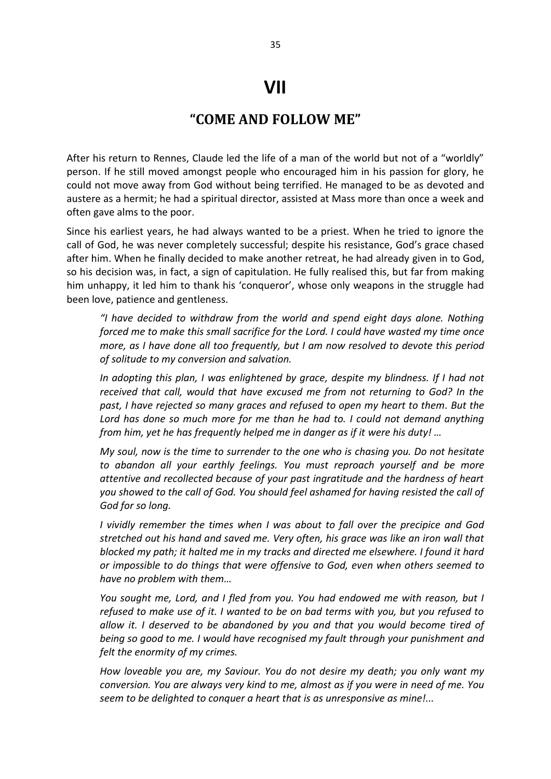## **VII**

## **"COME AND FOLLOW ME"**

After his return to Rennes, Claude led the life of a man of the world but not of a "worldly" person. If he still moved amongst people who encouraged him in his passion for glory, he could not move away from God without being terrified. He managed to be as devoted and austere as a hermit; he had a spiritual director, assisted at Mass more than once a week and often gave alms to the poor.

Since his earliest years, he had always wanted to be a priest. When he tried to ignore the call of God, he was never completely successful; despite his resistance, God's grace chased after him. When he finally decided to make another retreat, he had already given in to God, so his decision was, in fact, a sign of capitulation. He fully realised this, but far from making him unhappy, it led him to thank his 'conqueror', whose only weapons in the struggle had been love, patience and gentleness.

*"I have decided to withdraw from the world and spend eight days alone. Nothing forced me to make this small sacrifice for the Lord. I could have wasted my time once more, as I have done all too frequently, but I am now resolved to devote this period of solitude to my conversion and salvation.* 

*In adopting this plan, I was enlightened by grace, despite my blindness. If I had not received that call, would that have excused me from not returning to God? In the past, I have rejected so many graces and refused to open my heart to them. But the*  Lord has done so much more for me than he had to. I could not demand anything *from him, yet he has frequently helped me in danger as if it were his duty! …*

*My soul, now is the time to surrender to the one who is chasing you. Do not hesitate to abandon all your earthly feelings. You must reproach yourself and be more attentive and recollected because of your past ingratitude and the hardness of heart you showed to the call of God. You should feel ashamed for having resisted the call of God for so long.* 

*I vividly remember the times when I was about to fall over the precipice and God stretched out his hand and saved me. Very often, his grace was like an iron wall that blocked my path; it halted me in my tracks and directed me elsewhere. I found it hard or impossible to do things that were offensive to God, even when others seemed to have no problem with them…*

*You sought me, Lord, and I fled from you. You had endowed me with reason, but I refused to make use of it. I wanted to be on bad terms with you, but you refused to allow it. I deserved to be abandoned by you and that you would become tired of being so good to me. I would have recognised my fault through your punishment and felt the enormity of my crimes.* 

*How loveable you are, my Saviour. You do not desire my death; you only want my conversion. You are always very kind to me, almost as if you were in need of me. You seem to be delighted to conquer a heart that is as unresponsive as mine!...*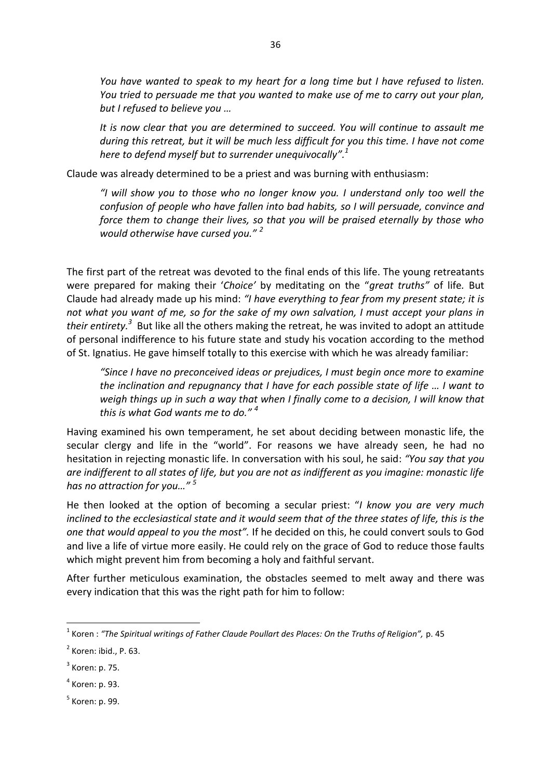*You have wanted to speak to my heart for a long time but I have refused to listen. You tried to persuade me that you wanted to make use of me to carry out your plan, but I refused to believe you …*

*It is now clear that you are determined to succeed. You will continue to assault me during this retreat, but it will be much less difficult for you this time. I have not come here to defend myself but to surrender unequivocally". 1* 

Claude was already determined to be a priest and was burning with enthusiasm:

*"I will show you to those who no longer know you. I understand only too well the confusion of people who have fallen into bad habits, so I will persuade, convince and force them to change their lives, so that you will be praised eternally by those who would otherwise have cursed you." <sup>2</sup>*

The first part of the retreat was devoted to the final ends of this life. The young retreatants were prepared for making their '*Choice'* by meditating on the "*great truths"* of life*.* But Claude had already made up his mind: *"I have everything to fear from my present state; it is not what you want of me, so for the sake of my own salvation, I must accept your plans in*  their entirety.<sup>3</sup> But like all the others making the retreat, he was invited to adopt an attitude of personal indifference to his future state and study his vocation according to the method of St. Ignatius. He gave himself totally to this exercise with which he was already familiar:

*"Since I have no preconceived ideas or prejudices, I must begin once more to examine the inclination and repugnancy that I have for each possible state of life … I want to weigh things up in such a way that when I finally come to a decision, I will know that this is what God wants me to do." <sup>4</sup>*

Having examined his own temperament, he set about deciding between monastic life, the secular clergy and life in the "world". For reasons we have already seen, he had no hesitation in rejecting monastic life. In conversation with his soul, he said: *"You say that you are indifferent to all states of life, but you are not as indifferent as you imagine: monastic life has no attraction for you…" <sup>5</sup>*

He then looked at the option of becoming a secular priest: "*I know you are very much inclined to the ecclesiastical state and it would seem that of the three states of life, this is the one that would appeal to you the most".* If he decided on this, he could convert souls to God and live a life of virtue more easily. He could rely on the grace of God to reduce those faults which might prevent him from becoming a holy and faithful servant.

After further meticulous examination, the obstacles seemed to melt away and there was every indication that this was the right path for him to follow:

1

<sup>1</sup> Koren : *"The Spiritual writings of Father Claude Poullart des Places: On the Truths of Religion",* p. 45

 $<sup>2</sup>$  Koren: ibid., P. 63.</sup>

 $3$  Koren: p. 75.

<sup>4</sup> Koren: p. 93.

<sup>&</sup>lt;sup>5</sup> Koren: p. 99.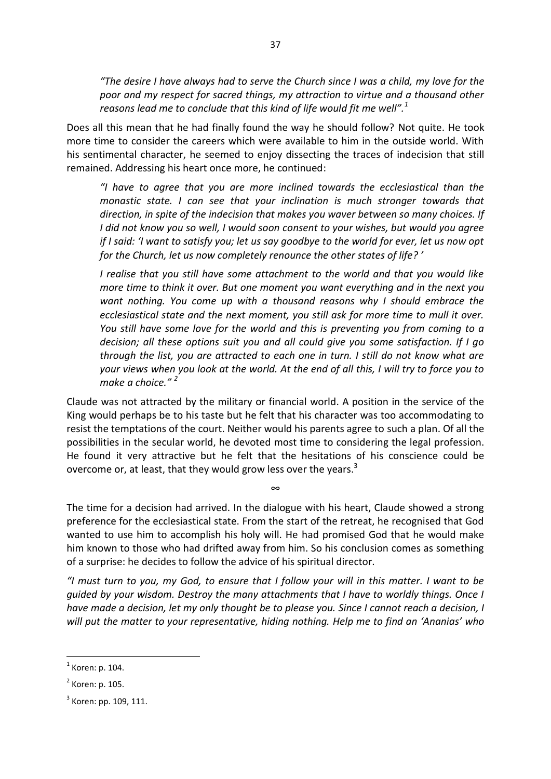*"The desire I have always had to serve the Church since I was a child, my love for the poor and my respect for sacred things, my attraction to virtue and a thousand other reasons lead me to conclude that this kind of life would fit me well".<sup>1</sup>*

Does all this mean that he had finally found the way he should follow? Not quite. He took more time to consider the careers which were available to him in the outside world. With his sentimental character, he seemed to enjoy dissecting the traces of indecision that still remained. Addressing his heart once more, he continued:

*"I have to agree that you are more inclined towards the ecclesiastical than the monastic state. I can see that your inclination is much stronger towards that direction, in spite of the indecision that makes you waver between so many choices. If I did not know you so well, I would soon consent to your wishes, but would you agree if I said: 'I want to satisfy you; let us say goodbye to the world for ever, let us now opt for the Church, let us now completely renounce the other states of life? '*

*I realise that you still have some attachment to the world and that you would like more time to think it over. But one moment you want everything and in the next you want nothing. You come up with a thousand reasons why I should embrace the ecclesiastical state and the next moment, you still ask for more time to mull it over. You still have some love for the world and this is preventing you from coming to a decision; all these options suit you and all could give you some satisfaction. If I go through the list, you are attracted to each one in turn. I still do not know what are your views when you look at the world. At the end of all this, I will try to force you to make a choice." <sup>2</sup>* 

Claude was not attracted by the military or financial world. A position in the service of the King would perhaps be to his taste but he felt that his character was too accommodating to resist the temptations of the court. Neither would his parents agree to such a plan. Of all the possibilities in the secular world, he devoted most time to considering the legal profession. He found it very attractive but he felt that the hesitations of his conscience could be overcome or, at least, that they would grow less over the years.<sup>3</sup>

The time for a decision had arrived. In the dialogue with his heart, Claude showed a strong preference for the ecclesiastical state. From the start of the retreat, he recognised that God wanted to use him to accomplish his holy will. He had promised God that he would make him known to those who had drifted away from him. So his conclusion comes as something of a surprise: he decides to follow the advice of his spiritual director.

∞

*"I must turn to you, my God, to ensure that I follow your will in this matter. I want to be guided by your wisdom. Destroy the many attachments that I have to worldly things. Once I have made a decision, let my only thought be to please you. Since I cannot reach a decision, I will put the matter to your representative, hiding nothing. Help me to find an 'Ananias' who* 

**.** 

 $<sup>1</sup>$  Koren: p. 104.</sup>

 $<sup>2</sup>$  Koren: p. 105.</sup>

 $3$  Koren: pp. 109, 111.